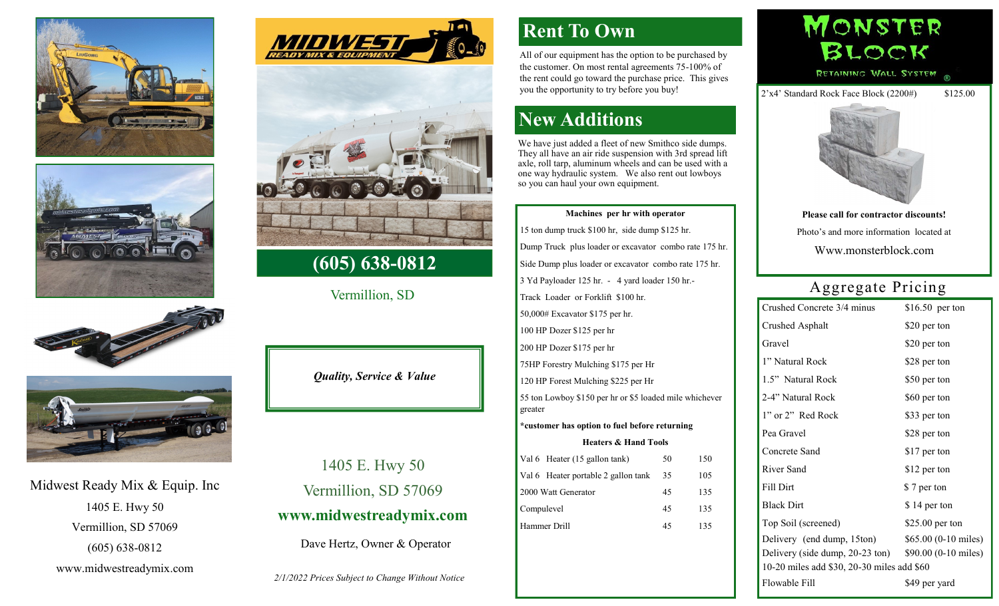







### Midwest Ready Mix & Equip. Inc 1405 E. Hwy 50 Vermillion, SD 57069 (605) 638-0812

www.midwestreadymix.com





#### **(605) 638-0812**

Vermillion, SD

*Quality, Service & Value*

1405 E. Hwy 50 Vermillion, SD 57069 **www.midwestreadymix.com**

Dave Hertz, Owner & Operator

*2/1/2022 Prices Subject to Change Without Notice*

## **Rent To Own**

All of our equipment has the option to be purchased by the customer. On most rental agreements 75-100% of the rent could go toward the purchase price. This gives you the opportunity to try before you buy!

# **New Additions**

We have just added a fleet of new Smithco side dumps. They all have an air ride suspension with 3rd spread lift axle, roll tarp, aluminum wheels and can be used with a one way hydraulic system. We also rent out lowboys so you can haul your own equipment.

#### **Machines per hr with operator**

15 ton dump truck \$100 hr, side dump \$125 hr. Dump Truck plus loader or excavator combo rate 175 hr. Side Dump plus loader or excavator combo rate 175 hr. 3 Yd Payloader 125 hr. - 4 yard loader 150 hr.- Track Loader or Forklift \$100 hr. 50,000# Excavator \$175 per hr. 100 HP Dozer \$125 per hr 200 HP Dozer \$175 per hr 75HP Forestry Mulching \$175 per Hr 120 HP Forest Mulching \$225 per Hr 55 ton Lowboy \$150 per hr or \$5 loaded mile whichever greater **\*customer has option to fuel before returning Heaters & Hand Tools** Val 6 Heater (15 gallon tank) 50 150 Val 6 Heater portable 2 gallon tank 35 105 2000 Watt Generator 45 135 Compulevel 45 135 Hammer Drill 45 135

MONSTER BLOCK RETAINING WALL SYSTEM

2'x4' Standard Rock Face Block (2200#) \$125.00



**Please call for contractor discounts!** Photo's and more information located at

Www.monsterblock.com

## Aggregate Pricing

|  | Crushed Concrete 3/4 minus                              | $$16.50$ per ton     |  |  |  |  |  |  |  |  |
|--|---------------------------------------------------------|----------------------|--|--|--|--|--|--|--|--|
|  | Crushed Asphalt                                         | \$20 per ton         |  |  |  |  |  |  |  |  |
|  | Gravel                                                  | \$20 per ton         |  |  |  |  |  |  |  |  |
|  | 1" Natural Rock                                         | \$28 per ton         |  |  |  |  |  |  |  |  |
|  | 1.5" Natural Rock                                       | \$50 per ton         |  |  |  |  |  |  |  |  |
|  | 2-4" Natural Rock                                       | \$60 per ton         |  |  |  |  |  |  |  |  |
|  | 1" or 2" Red Rock                                       | \$33 per ton         |  |  |  |  |  |  |  |  |
|  | Pea Gravel                                              | \$28 per ton         |  |  |  |  |  |  |  |  |
|  | Concrete Sand                                           | \$17 per ton         |  |  |  |  |  |  |  |  |
|  | River Sand                                              | \$12 per ton         |  |  |  |  |  |  |  |  |
|  | Fill Dirt                                               | \$7 per ton          |  |  |  |  |  |  |  |  |
|  | <b>Black Dirt</b>                                       | \$14 per ton         |  |  |  |  |  |  |  |  |
|  | Top Soil (screened)                                     | $$25.00$ per ton     |  |  |  |  |  |  |  |  |
|  | Delivery (end dump, 15ton)                              | \$65.00 (0-10 miles) |  |  |  |  |  |  |  |  |
|  | Delivery (side dump, $20-23$ ton) $$90.00$ (0-10 miles) |                      |  |  |  |  |  |  |  |  |
|  | 10-20 miles add \$30, 20-30 miles add \$60              |                      |  |  |  |  |  |  |  |  |
|  | Flowable Fill                                           | \$49 per yard        |  |  |  |  |  |  |  |  |